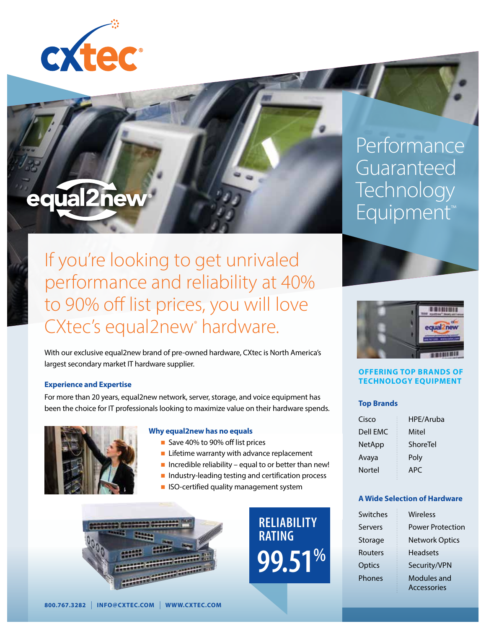

# equal2new

If you're looking to get unrivaled performance and reliability at 40% to 90% off list prices, you will love CXtec's equal2new hardware.

With our exclusive equal2new brand of pre-owned hardware, CXtec is North America's largest secondary market IT hardware supplier.

#### **Experience and Expertise**

For more than 20 years, equal2new network, server, storage, and voice equipment has been the choice for IT professionals looking to maximize value on their hardware spends.



#### **Why equal2new has no equals**

- Save 40% to 90% off list prices
- $\blacksquare$  Lifetime warranty with advance replacement
- $\blacksquare$  Incredible reliability equal to or better than new!
- n Industry-leading testing and certification process
- **n** ISO-certified quality management system



**RELIABILITY RATING 99.51%**

**Performance** Guaranteed **Technology** Equipment™





#### **OFFERING TOP BRANDS OF TECHNOLOGY EQUIPMENT**

#### **Top Brands**

| Cisco    | HPE/Aruba |
|----------|-----------|
| Dell EMC | Mitel     |
| NetApp   | ShoreTel  |
| Avaya    | Poly      |
| Nortel   | APC.      |

#### **A Wide Selection of Hardware**

| Switches       | Wireless                |
|----------------|-------------------------|
| <b>Servers</b> | <b>Power Protection</b> |
| Storage        | <b>Network Optics</b>   |
| Routers        | <b>Headsets</b>         |
| Optics         | Security/VPN            |
| Phones         | Modules and             |
|                | <b>Accessories</b>      |